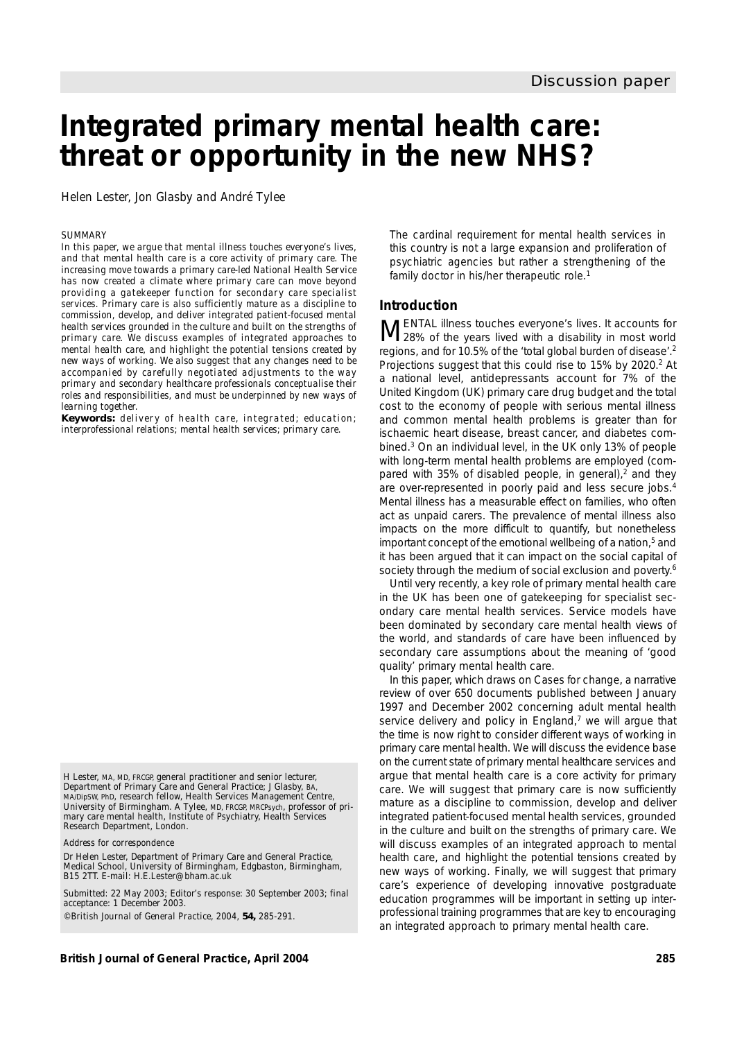# **Integrated primary mental health care: threat or opportunity in the new NHS?**

Helen Lester, Jon Glasby and André Tylee

#### *SUMMARY*

*In this paper, we argue that mental illness touches everyone's lives, and that mental health care is a core activity of primary care. The increasing move towards a primary care-led National Health Service has now created a climate where primary care can move beyond providing a gatekeeper function for secondary care specialist services. Primary care is also sufficiently mature as a discipline to commission, develop, and deliver integrated patient-focused mental health services grounded in the culture and built on the strengths of primary care. We discuss examples of integrated approaches to mental health care, and highlight the potential tensions created by new ways of working. We also suggest that any changes need to be accompanied by carefully negotiated adjustments to the way primary and secondary healthcare professionals conceptualise their roles and responsibilities, and must be underpinned by new ways of learning together.*

*Keywords: delivery of health care, integrated; education; interprofessional relations; mental health services; primary care.*

H Lester, MA, MD, FRCGP, general practitioner and senior lecturer, Department of Primary Care and General Practice; J Glasby, BA, MA/DipSW, PhD, research fellow, Health Services Management Centre, University of Birmingham. A Tylee, MD, FRCGP, MRCPsych, professor of primary care mental health, Institute of Psychiatry, Health Services Research Department, London.

*Address for correspondence*

Dr Helen Lester, Department of Primary Care and General Practice, Medical School, University of Birmingham, Edgbaston, Birmingham, B15 2TT. E-mail: H.E.Lester@bham.ac.uk

Submitted: 22 May 2003; Editor's response: 30 September 2003; final acceptance: 1 December 2003. ©*British Journal of General Practice*, 2004, **54,** 285-291.

**British Journal of General Practice, April 2004 285**

*The cardinal requirement for mental health services in this country is not a large expansion and proliferation of psychiatric agencies but rather a strengthening of the family doctor in his/her therapeutic role.*<sup>1</sup>

## **Introduction**

MENTAL illness touches everyone's lives. It accounts for<br>M28% of the years lived with a disability in most world regions, and for 10.5% of the 'total global burden of disease'.2 Projections suggest that this could rise to 15% by 2020.<sup>2</sup> At a national level, antidepressants account for 7% of the United Kingdom (UK) primary care drug budget and the total cost to the economy of people with serious mental illness and common mental health problems is greater than for ischaemic heart disease, breast cancer, and diabetes combined.3 On an individual level, in the UK only 13% of people with long-term mental health problems are employed (compared with 35% of disabled people, in general), $<sup>2</sup>$  and they</sup> are over-represented in poorly paid and less secure jobs.4 Mental illness has a measurable effect on families, who often act as unpaid carers. The prevalence of mental illness also impacts on the more difficult to quantify, but nonetheless important concept of the emotional wellbeing of a nation,<sup>5</sup> and it has been argued that it can impact on the social capital of society through the medium of social exclusion and poverty.<sup>6</sup>

Until very recently, a key role of primary mental health care in the UK has been one of gatekeeping for specialist secondary care mental health services. Service models have been dominated by secondary care mental health views of the world, and standards of care have been influenced by secondary care assumptions about the meaning of 'good quality' primary mental health care.

In this paper, which draws on *Cases for change*, a narrative review of over 650 documents published between January 1997 and December 2002 concerning adult mental health service delivery and policy in England,7 we will argue that the time is now right to consider different ways of working in primary care mental health. We will discuss the evidence base on the current state of primary mental healthcare services and argue that mental health care is a core activity for primary care. We will suggest that primary care is now sufficiently mature as a discipline to commission, develop and deliver integrated patient-focused mental health services, grounded in the culture and built on the strengths of primary care. We will discuss examples of an integrated approach to mental health care, and highlight the potential tensions created by new ways of working. Finally, we will suggest that primary care's experience of developing innovative postgraduate education programmes will be important in setting up interprofessional training programmes that are key to encouraging an integrated approach to primary mental health care.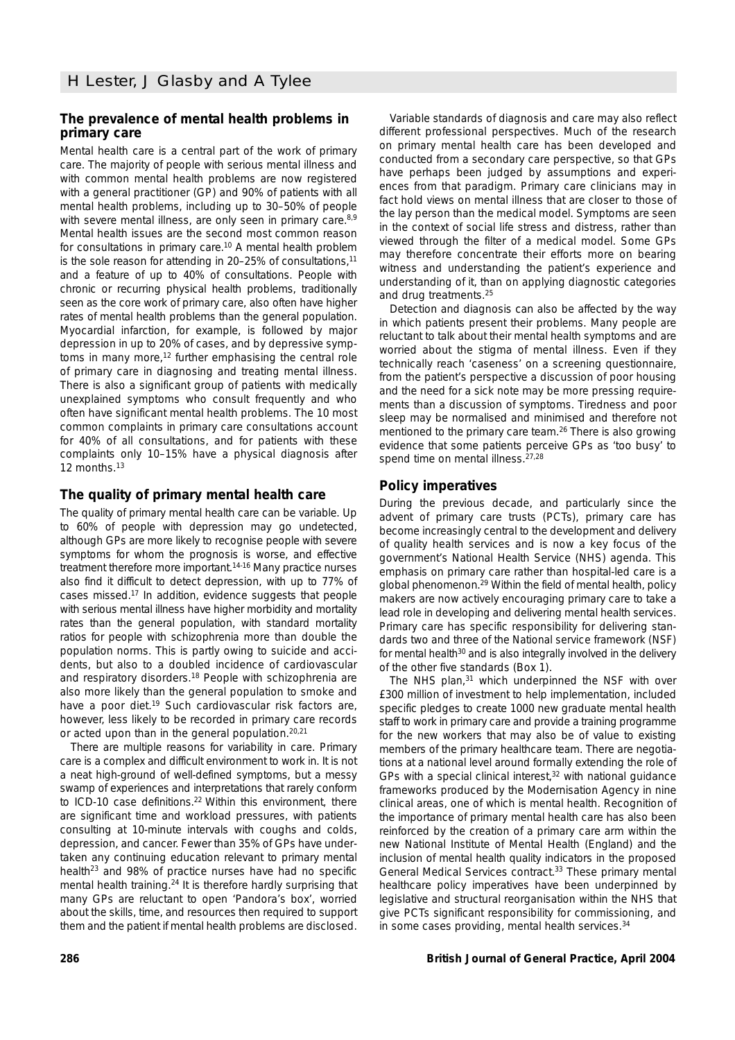# **The prevalence of mental health problems in primary care**

Mental health care is a central part of the work of primary care. The majority of people with serious mental illness and with common mental health problems are now registered with a general practitioner (GP) and 90% of patients with all mental health problems, including up to 30–50% of people with severe mental illness, are only seen in primary care.<sup>8,9</sup> Mental health issues are the second most common reason for consultations in primary care.10 A mental health problem is the sole reason for attending in 20-25% of consultations,<sup>11</sup> and a feature of up to 40% of consultations. People with chronic or recurring physical health problems, traditionally seen as the core work of primary care, also often have higher rates of mental health problems than the general population. Myocardial infarction, for example, is followed by major depression in up to 20% of cases, and by depressive symptoms in many more,<sup>12</sup> further emphasising the central role of primary care in diagnosing and treating mental illness. There is also a significant group of patients with medically unexplained symptoms who consult frequently and who often have significant mental health problems. The 10 most common complaints in primary care consultations account for 40% of all consultations, and for patients with these complaints only 10–15% have a physical diagnosis after 12 months.<sup>13</sup>

# **The quality of primary mental health care**

The quality of primary mental health care can be variable. Up to 60% of people with depression may go undetected, although GPs are more likely to recognise people with severe symptoms for whom the prognosis is worse, and effective treatment therefore more important.14-16 Many practice nurses also find it difficult to detect depression, with up to 77% of cases missed.17 In addition, evidence suggests that people with serious mental illness have higher morbidity and mortality rates than the general population, with standard mortality ratios for people with schizophrenia more than double the population norms. This is partly owing to suicide and accidents, but also to a doubled incidence of cardiovascular and respiratory disorders.18 People with schizophrenia are also more likely than the general population to smoke and have a poor diet.<sup>19</sup> Such cardiovascular risk factors are, however, less likely to be recorded in primary care records or acted upon than in the general population.20,21

There are multiple reasons for variability in care. Primary care is a complex and difficult environment to work in. It is not a neat high-ground of well-defined symptoms, but a messy swamp of experiences and interpretations that rarely conform to ICD-10 case definitions.<sup>22</sup> Within this environment, there are significant time and workload pressures, with patients consulting at 10-minute intervals with coughs and colds, depression, and cancer. Fewer than 35% of GPs have undertaken any continuing education relevant to primary mental health<sup>23</sup> and 98% of practice nurses have had no specific mental health training.24 It is therefore hardly surprising that many GPs are reluctant to open 'Pandora's box', worried about the skills, time, and resources then required to support them and the patient if mental health problems are disclosed.

Variable standards of diagnosis and care may also reflect different professional perspectives. Much of the research on primary mental health care has been developed and conducted from a secondary care perspective, so that GPs have perhaps been judged by assumptions and experiences from that paradigm. Primary care clinicians may in fact hold views on mental illness that are closer to those of the lay person than the medical model. Symptoms are seen in the context of social life stress and distress, rather than viewed through the filter of a medical model. Some GPs may therefore concentrate their efforts more on bearing witness and understanding the patient's experience and understanding of it, than on applying diagnostic categories and drug treatments.25

Detection and diagnosis can also be affected by the way in which patients present their problems. Many people are reluctant to talk about their mental health symptoms and are worried about the stigma of mental illness. Even if they technically reach 'caseness' on a screening questionnaire, from the patient's perspective a discussion of poor housing and the need for a sick note may be more pressing requirements than a discussion of symptoms. Tiredness and poor sleep may be normalised and minimised and therefore not mentioned to the primary care team.<sup>26</sup> There is also growing evidence that some patients perceive GPs as 'too busy' to spend time on mental illness.<sup>27,28</sup>

# **Policy imperatives**

During the previous decade, and particularly since the advent of primary care trusts (PCTs), primary care has become increasingly central to the development and delivery of quality health services and is now a key focus of the government's National Health Service (NHS) agenda. This emphasis on primary care rather than hospital-led care is a global phenomenon.29 Within the field of mental health, policy makers are now actively encouraging primary care to take a lead role in developing and delivering mental health services. Primary care has specific responsibility for delivering standards two and three of the *National service framework (NSF)* for mental health<sup>30</sup> and is also integrally involved in the delivery of the other five standards (Box 1).

*The NHS plan*, <sup>31</sup> which underpinned the *NSF* with over £300 million of investment to help implementation, included specific pledges to create 1000 new graduate mental health staff to work in primary care and provide a training programme for the new workers that may also be of value to existing members of the primary healthcare team. There are negotiations at a national level around formally extending the role of GPs with a special clinical interest, $32$  with national guidance frameworks produced by the Modernisation Agency in nine clinical areas, one of which is mental health. Recognition of the importance of primary mental health care has also been reinforced by the creation of a primary care arm within the new National Institute of Mental Health (England) and the inclusion of mental health quality indicators in the proposed General Medical Services contract.33 These primary mental healthcare policy imperatives have been underpinned by legislative and structural reorganisation within the NHS that give PCTs significant responsibility for commissioning, and in some cases providing, mental health services.<sup>34</sup>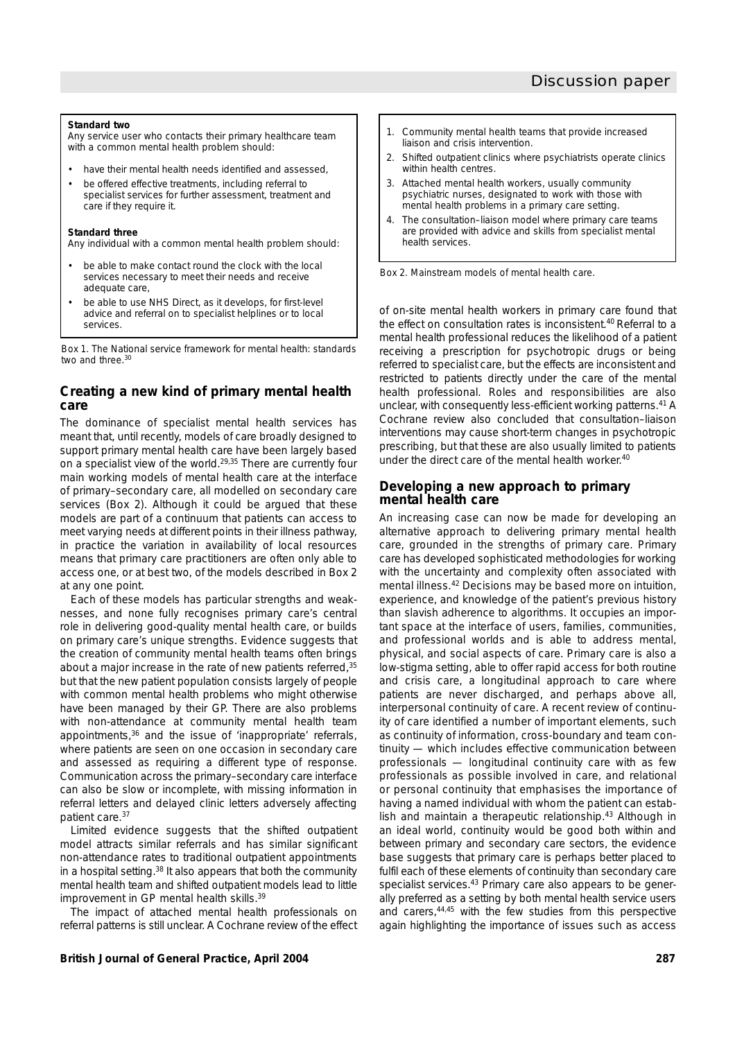#### **Standard two**

Any service user who contacts their primary healthcare team with a common mental health problem should:

- have their mental health needs identified and assessed,
- be offered effective treatments, including referral to specialist services for further assessment, treatment and care if they require it.

#### **Standard three**

Any individual with a common mental health problem should:

- be able to make contact round the clock with the local services necessary to meet their needs and receive adequate care,
- be able to use NHS Direct, as it develops, for first-level advice and referral on to specialist helplines or to local services.

*Box 1. The* National service framework for mental health*: standards two and three*. 30

# **Creating a new kind of primary mental health care**

The dominance of specialist mental health services has meant that, until recently, models of care broadly designed to support primary mental health care have been largely based on a specialist view of the world.29,35 There are currently four main working models of mental health care at the interface of primary–secondary care, all modelled on secondary care services (Box 2). Although it could be argued that these models are part of a continuum that patients can access to meet varying needs at different points in their illness pathway, in practice the variation in availability of local resources means that primary care practitioners are often only able to access one, or at best two, of the models described in Box 2 at any one point.

Each of these models has particular strengths and weaknesses, and none fully recognises primary care's central role in delivering good-quality mental health care, or builds on primary care's unique strengths. Evidence suggests that the creation of community mental health teams often brings about a major increase in the rate of new patients referred, 35 but that the new patient population consists largely of people with common mental health problems who might otherwise have been managed by their GP. There are also problems with non-attendance at community mental health team appointments,<sup>36</sup> and the issue of 'inappropriate' referrals, where patients are seen on one occasion in secondary care and assessed as requiring a different type of response. Communication across the primary–secondary care interface can also be slow or incomplete, with missing information in referral letters and delayed clinic letters adversely affecting patient care.37

Limited evidence suggests that the shifted outpatient model attracts similar referrals and has similar significant non-attendance rates to traditional outpatient appointments in a hospital setting.<sup>38</sup> It also appears that both the community mental health team and shifted outpatient models lead to little improvement in GP mental health skills.<sup>39</sup>

The impact of attached mental health professionals on referral patterns is still unclear. A Cochrane review of the effect

- 1. Community mental health teams that provide increased liaison and crisis intervention.
- 2. Shifted outpatient clinics where psychiatrists operate clinics within health centres.
- 3. Attached mental health workers, usually community psychiatric nurses, designated to work with those with mental health problems in a primary care setting.
- 4. The consultation–liaison model where primary care teams are provided with advice and skills from specialist mental health services.



of on-site mental health workers in primary care found that the effect on consultation rates is inconsistent.<sup>40</sup> Referral to a mental health professional reduces the likelihood of a patient receiving a prescription for psychotropic drugs or being referred to specialist care, but the effects are inconsistent and restricted to patients directly under the care of the mental health professional. Roles and responsibilities are also unclear, with consequently less-efficient working patterns.<sup>41</sup> A Cochrane review also concluded that consultation–liaison interventions may cause short-term changes in psychotropic prescribing, but that these are also usually limited to patients under the direct care of the mental health worker.40

# **Developing a new approach to primary mental health care**

An increasing case can now be made for developing an alternative approach to delivering primary mental health care, grounded in the strengths of primary care. Primary care has developed sophisticated methodologies for working with the uncertainty and complexity often associated with mental illness.42 Decisions may be based more on intuition, experience, and knowledge of the patient's previous history than slavish adherence to algorithms. It occupies an important space at the interface of users, families, communities, and professional worlds and is able to address mental, physical, and social aspects of care. Primary care is also a low-stigma setting, able to offer rapid access for both routine and crisis care, a longitudinal approach to care where patients are never discharged, and perhaps above all, interpersonal continuity of care. A recent review of continuity of care identified a number of important elements, such as continuity of information, cross-boundary and team continuity — which includes effective communication between professionals — longitudinal continuity care with as few professionals as possible involved in care, and relational or personal continuity that emphasises the importance of having a named individual with whom the patient can establish and maintain a therapeutic relationship.<sup>43</sup> Although in an ideal world, continuity would be good both within and between primary and secondary care sectors, the evidence base suggests that primary care is perhaps better placed to fulfil each of these elements of continuity than secondary care specialist services.<sup>43</sup> Primary care also appears to be generally preferred as a setting by both mental health service users and carers,44,45 with the few studies from this perspective again highlighting the importance of issues such as access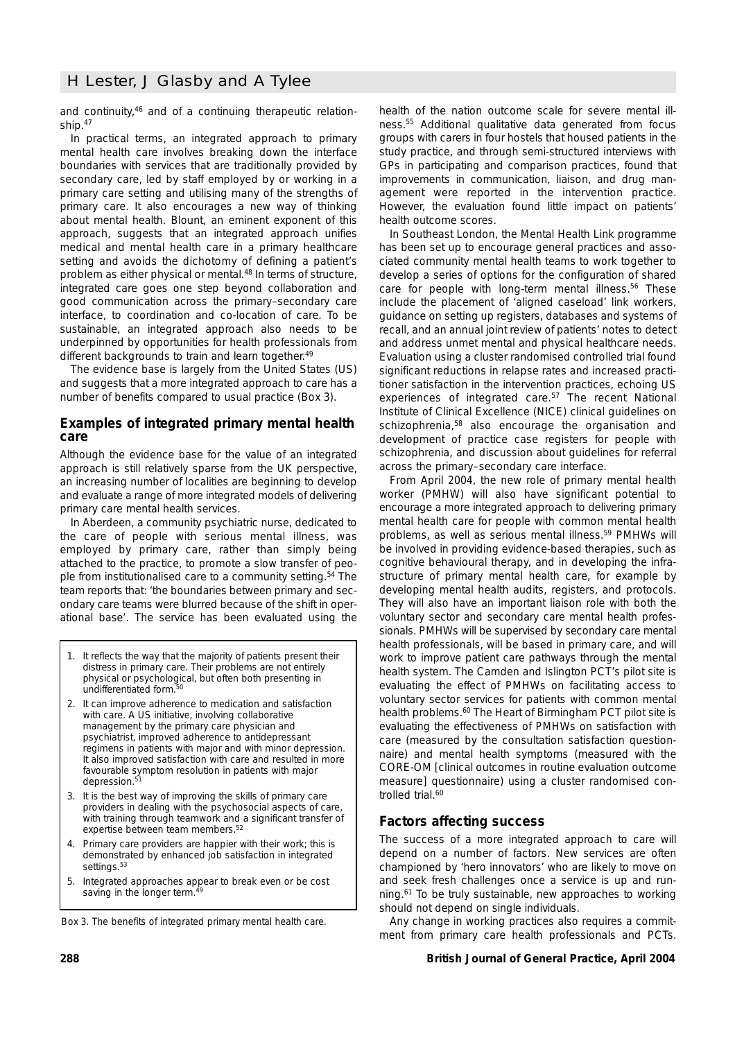# H Lester, J Glasby and A Tylee

and continuity,46 and of a continuing therapeutic relationship.47

In practical terms, an integrated approach to primary mental health care involves breaking down the interface boundaries with services that are traditionally provided by secondary care, led by staff employed by or working in a primary care setting and utilising many of the strengths of primary care. It also encourages a new way of thinking about mental health. Blount, an eminent exponent of this approach, suggests that an integrated approach unifies medical and mental health care in a primary healthcare setting and avoids the dichotomy of defining a patient's problem as either physical or mental.<sup>48</sup> In terms of structure, integrated care goes one step beyond collaboration and good communication across the primary–secondary care interface, to coordination and co-location of care. To be sustainable, an integrated approach also needs to be underpinned by opportunities for health professionals from different backgrounds to train and learn together.<sup>49</sup>

The evidence base is largely from the United States (US) and suggests that a more integrated approach to care has a number of benefits compared to usual practice (Box 3).

## **Examples of integrated primary mental health care**

Although the evidence base for the value of an integrated approach is still relatively sparse from the UK perspective, an increasing number of localities are beginning to develop and evaluate a range of more integrated models of delivering primary care mental health services.

In Aberdeen, a community psychiatric nurse, dedicated to the care of people with serious mental illness, was employed by primary care, rather than simply being attached to the practice, to promote a slow transfer of people from institutionalised care to a community setting.<sup>54</sup> The team reports that: 'the boundaries between primary and secondary care teams were blurred because of the shift in operational base'. The service has been evaluated using the

- 1. It reflects the way that the majority of patients present their distress in primary care. Their problems are not entirely physical or psychological, but often both presenting in undifferentiated form.<sup>50</sup>
- 2. It can improve adherence to medication and satisfaction with care. A US initiative, involving collaborative management by the primary care physician and psychiatrist, improved adherence to antidepressant regimens in patients with major and with minor depression. It also improved satisfaction with care and resulted in more favourable symptom resolution in patients with major depression.<sup>51</sup>
- 3. It is the best way of improving the skills of primary care providers in dealing with the psychosocial aspects of care, with training through teamwork and a significant transfer of expertise between team members.<sup>52</sup>
- 4. Primary care providers are happier with their work; this is demonstrated by enhanced job satisfaction in integrated settings.<sup>53</sup>
- 5. Integrated approaches appear to break even or be cost saving in the longer term.<sup>44</sup>

*Box 3. The benefits of integrated primary mental health care.*

health of the nation outcome scale for severe mental illness.55 Additional qualitative data generated from focus groups with carers in four hostels that housed patients in the study practice, and through semi-structured interviews with GPs in participating and comparison practices, found that improvements in communication, liaison, and drug management were reported in the intervention practice. However, the evaluation found little impact on patients' health outcome scores.

In Southeast London, the Mental Health Link programme has been set up to encourage general practices and associated community mental health teams to work together to develop a series of options for the configuration of shared care for people with long-term mental illness.<sup>56</sup> These include the placement of 'aligned caseload' link workers, guidance on setting up registers, databases and systems of recall, and an annual joint review of patients' notes to detect and address unmet mental and physical healthcare needs. Evaluation using a cluster randomised controlled trial found significant reductions in relapse rates and increased practitioner satisfaction in the intervention practices, echoing US experiences of integrated care.<sup>57</sup> The recent National Institute of Clinical Excellence (NICE) clinical guidelines on schizophrenia,<sup>58</sup> also encourage the organisation and development of practice case registers for people with schizophrenia, and discussion about guidelines for referral across the primary–secondary care interface.

From April 2004, the new role of primary mental health worker (PMHW) will also have significant potential to encourage a more integrated approach to delivering primary mental health care for people with common mental health problems, as well as serious mental illness.59 PMHWs will be involved in providing evidence-based therapies, such as cognitive behavioural therapy, and in developing the infrastructure of primary mental health care, for example by developing mental health audits, registers, and protocols. They will also have an important liaison role with both the voluntary sector and secondary care mental health professionals. PMHWs will be supervised by secondary care mental health professionals, will be based in primary care, and will work to improve patient care pathways through the mental health system. The Camden and Islington PCT's pilot site is evaluating the effect of PMHWs on facilitating access to voluntary sector services for patients with common mental health problems.<sup>60</sup> The Heart of Birmingham PCT pilot site is evaluating the effectiveness of PMHWs on satisfaction with care (measured by the consultation satisfaction questionnaire) and mental health symptoms (measured with the CORE-OM [clinical outcomes in routine evaluation outcome measure] questionnaire) using a cluster randomised controlled trial.<sup>60</sup>

## **Factors affecting success**

The success of a more integrated approach to care will depend on a number of factors. New services are often championed by 'hero innovators' who are likely to move on and seek fresh challenges once a service is up and running.61 To be truly sustainable, new approaches to working should not depend on single individuals.

Any change in working practices also requires a commitment from primary care health professionals and PCTs.

## **288 British Journal of General Practice, April 2004**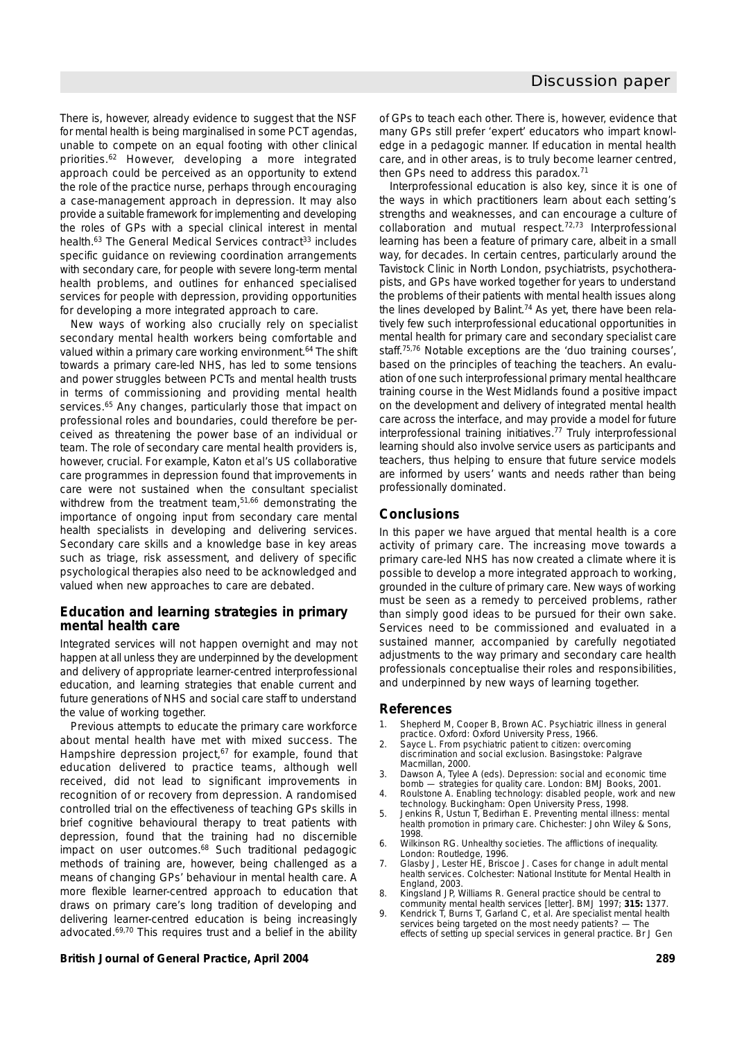There is, however, already evidence to suggest that the *NSF for mental health* is being marginalised in some PCT agendas, unable to compete on an equal footing with other clinical priorities.62 However, developing a more integrated approach could be perceived as an opportunity to extend the role of the practice nurse, perhaps through encouraging a case-management approach in depression. It may also provide a suitable framework for implementing and developing the roles of GPs with a special clinical interest in mental health.<sup>63</sup> The General Medical Services contract<sup>33</sup> includes specific guidance on reviewing coordination arrangements with secondary care, for people with severe long-term mental health problems, and outlines for enhanced specialised services for people with depression, providing opportunities for developing a more integrated approach to care.

New ways of working also crucially rely on specialist secondary mental health workers being comfortable and valued within a primary care working environment.<sup>64</sup> The shift towards a primary care-led NHS, has led to some tensions and power struggles between PCTs and mental health trusts in terms of commissioning and providing mental health services.<sup>65</sup> Any changes, particularly those that impact on professional roles and boundaries, could therefore be perceived as threatening the power base of an individual or team. The role of secondary care mental health providers is, however, crucial. For example, Katon *et al*'s US collaborative care programmes in depression found that improvements in care were not sustained when the consultant specialist withdrew from the treatment team.<sup>51,66</sup> demonstrating the importance of ongoing input from secondary care mental health specialists in developing and delivering services. Secondary care skills and a knowledge base in key areas such as triage, risk assessment, and delivery of specific psychological therapies also need to be acknowledged and valued when new approaches to care are debated.

## **Education and learning strategies in primary mental health care**

Integrated services will not happen overnight and may not happen at all unless they are underpinned by the development and delivery of appropriate learner-centred interprofessional education, and learning strategies that enable current and future generations of NHS and social care staff to understand the value of working together.

Previous attempts to educate the primary care workforce about mental health have met with mixed success. The Hampshire depression project, $67$  for example, found that education delivered to practice teams, although well received, did not lead to significant improvements in recognition of or recovery from depression. A randomised controlled trial on the effectiveness of teaching GPs skills in brief cognitive behavioural therapy to treat patients with depression, found that the training had no discernible impact on user outcomes.68 Such traditional pedagogic methods of training are, however, being challenged as a means of changing GPs' behaviour in mental health care. A more flexible learner-centred approach to education that draws on primary care's long tradition of developing and delivering learner-centred education is being increasingly advocated.69,70 This requires trust and a belief in the ability

## **British Journal of General Practice, April 2004 289**

of GPs to teach each other. There is, however, evidence that many GPs still prefer 'expert' educators who impart knowledge in a pedagogic manner. If education in mental health care, and in other areas, is to truly become learner centred, then GPs need to address this paradox.<sup>71</sup>

Interprofessional education is also key, since it is one of the ways in which practitioners learn about each setting's strengths and weaknesses, and can encourage a culture of collaboration and mutual respect.72,73 Interprofessional learning has been a feature of primary care, albeit in a small way, for decades. In certain centres, particularly around the Tavistock Clinic in North London, psychiatrists, psychotherapists, and GPs have worked together for years to understand the problems of their patients with mental health issues along the lines developed by Balint.<sup>74</sup> As yet, there have been relatively few such interprofessional educational opportunities in mental health for primary care and secondary specialist care staff.75,76 Notable exceptions are the 'duo training courses', based on the principles of teaching the teachers. An evaluation of one such interprofessional primary mental healthcare training course in the West Midlands found a positive impact on the development and delivery of integrated mental health care across the interface, and may provide a model for future interprofessional training initiatives.77 Truly interprofessional learning should also involve service users as participants and teachers, thus helping to ensure that future service models are informed by users' wants and needs rather than being professionally dominated.

# **Conclusions**

In this paper we have argued that mental health is a core activity of primary care. The increasing move towards a primary care-led NHS has now created a climate where it is possible to develop a more integrated approach to working, grounded in the culture of primary care. New ways of working must be seen as a remedy to perceived problems, rather than simply good ideas to be pursued for their own sake. Services need to be commissioned and evaluated in a sustained manner, accompanied by carefully negotiated adjustments to the way primary and secondary care health professionals conceptualise their roles and responsibilities, and underpinned by new ways of learning together.

## **References**

- 1. Shepherd M, Cooper B, Brown AC. *Psychiatric illness in general practice*. Oxford: Oxford University Press, 1966.
- 2. Sayce L. *From psychiatric patient to citizen: overcoming discrimination and social exclusion*. Basingstoke: Palgrave Macmillan, 2000.
- 3. Dawson A, Tylee A (eds). *Depression: social and economic time bomb — strategies for quality care.* London: BMJ Books, 2001.
- 4. Roulstone A. *Enabling technology: disabled people, work and new technology.* Buckingham: Open University Press, 1998.
- 5. Jenkins R, Ustun T, Bedirhan E. *Preventing mental illness: mental health promotion in primary care*. Chichester: John Wiley & Sons, 1998.
- 6. Wilkinson RG. *Unhealthy societies. The afflictions of inequality.* London: Routledge, 1996.
- 7. Glasby J, Lester HE, Briscoe J. *Cases for change in adult mental health services*. Colchester: National Institute for Mental Health in England, 2003.
- 8. Kingsland JP, Williams R. General practice should be central to community mental health services [letter]. *BMJ* 1997; **315:** 1377.
- 9. Kendrick T, Burns T, Garland C, *et al*. Are specialist mental health services being targeted on the most needy patients? — The effects of setting up special services in general practice. *Br J Gen*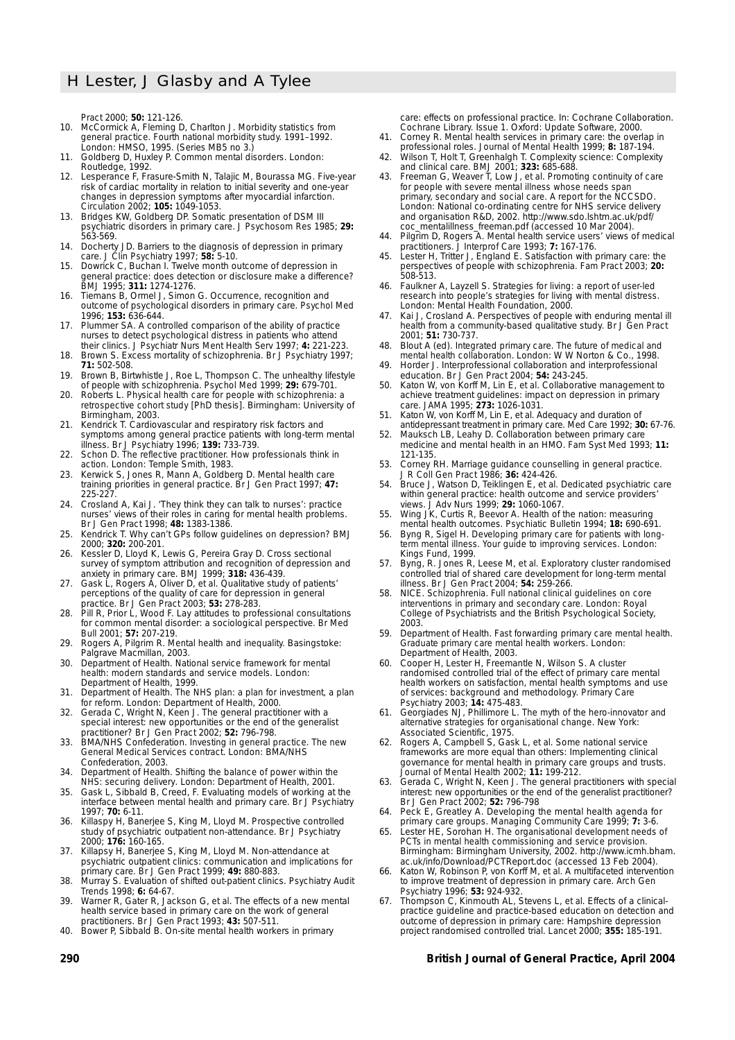*Pract* 2000; **50:** 121-126.

- 10. McCormick A, Fleming D, Charlton J. *Morbidity statistics from general practice. Fourth national morbidity study. 1991–1992*. London: HMSO, 1995. (Series MB5 no 3.)
- 11. Goldberg D, Huxley P. *Common mental disorders*. London: Routledge, 1992.
- 12. Lesperance F, Frasure-Smith N, Talajic M, Bourassa MG. Five-year risk of cardiac mortality in relation to initial severity and one-year changes in depression symptoms after myocardial infarction. *Circulation* 2002; **105:** 1049-1053.
- 13. Bridges KW, Goldberg DP. Somatic presentation of DSM III psychiatric disorders in primary care. *J Psychosom Res* 1985; **29:** 563-569.
- 14. Docherty JD. Barriers to the diagnosis of depression in primary care. *J Clin Psychiatry* 1997; **58:** 5-10.
- 15. Dowrick C, Buchan I. Twelve month outcome of depression in general practice: does detection or disclosure make a difference? *BMJ* 1995; **311:** 1274-1276.
- 16. Tiemans B, Ormel J, Simon G. Occurrence, recognition and outcome of psychological disorders in primary care. *Psychol Med* 1996; **153:** 636-644.
- Plummer SA. A controlled comparison of the ability of practice nurses to detect psychological distress in patients who attend their clinics. *J Psychiatr Nurs Ment Health Serv* 1997; **4:** 221-223.
- 18. Brown S. Excess mortality of schizophrenia. *Br J Psychiatry* 1997; **71:** 502-508. 19. Brown B, Birtwhistle J, Roe L, Thompson C. The unhealthy lifestyle
- of people with schizophrenia. *Psychol Med* 1999; **29:** 679-701.
- 20. Roberts L. *Physical health care for people with schizophrenia: a retrospective cohort study* [PhD thesis]. Birmingham: University of Birmingham, 2003.
- 21. Kendrick T. Cardiovascular and respiratory risk factors and symptoms among general practice patients with long-term mental illness. *Br J Psychiatry* 1996; **139:** 733-739.
- 22. Schon D. *The reflective practitioner. How professionals think in action.* London: Temple Smith, 1983.
- Kerwick S, Jones R, Mann A, Goldberg D. Mental health care training priorities in general practice. *Br J Gen Pract* 1997; **47:** 225-227
- 24. Crosland A, Kai J. 'They think they can talk to nurses': practice nurses' views of their roles in caring for mental health problems. *Br J Gen Pract* 1998; **48:** 1383-1386.
- 25. Kendrick T. Why can't GPs follow guidelines on depression? *BMJ* 2000; **320:** 200-201.
- 26. Kessler D, Lloyd K, Lewis G, Pereira Gray D. Cross sectional survey of symptom attribution and recognition of depression and anxiety in primary care. *BMJ* 1999; **318:** 436-439.
- 27. Gask L, Rogers A, Oliver D, *et al*. Qualitative study of patients' perceptions of the quality of care for depression in general practice. *Br J Gen Pract* 2003; **53:** 278-283.
- 28. Pill R, Prior L, Wood F. Lay attitudes to professional consultations for common mental disorder: a sociological perspective. *Br Med Bull* 2001; **57:** 207-219.
- 29. Rogers A, Pilgrim R. *Mental health and inequality.* Basingstoke: Palgrave Macmillan, 2003.
- 30. Department of Health. *National service framework for mental health: modern standards and service models.* London: Department of Health, 1999.
- 31. Department of Health. *The NHS plan: a plan for investment, a plan for reform*. London: Department of Health, 2000.
- 32. Gerada C, Wright N, Keen J. The general practitioner with a special interest: new opportunities or the end of the generalist practitioner? *Br J Gen Pract* 2002; **52:** 796-798.
- 33. BMA/NHS Confederation. *Investing in general practice. The new General Medical Services contract*. London: BMA/NHS Confederation, 2003.
- 34. Department of Health. *Shifting the balance of power within the NHS: securing delivery*. London: Department of Health, 2001.
- 35. Gask L, Sibbald B, Creed, F. Evaluating models of working at the interface between mental health and primary care. *Br J Psychiatry* 1997; **70:** 6-11.
- 36. Killaspy H, Banerjee S, King M, Lloyd M. Prospective controlled study of psychiatric outpatient non-attendance. *Br J Psychiatry* 2000; **176:** 160-165.
- Killapsy H, Banerjee S, King M, Lloyd M. Non-attendance at psychiatric outpatient clinics: communication and implications for primary care. *Br J Gen Pract* 1999; **49:** 880-883.
- 38. Murray S. Evaluation of shifted out-patient clinics. *Psychiatry Audit Trends* 1998; **6:** 64-67.
- 39. Warner R, Gater R, Jackson G, *et al*. The effects of a new mental health service based in primary care on the work of general practitioners. *Br J Gen Pract* 1993; **43:** 507-511.
- 40. Bower P, Sibbald B. On-site mental health workers in primary

care: effects on professional practice. In: Cochrane Collaboration. *Cochrane Library.* Issue 1. Oxford: Update Software, 2000.

- 41. Corney R. Mental health services in primary care: the overlap in professional roles. *Journal of Mental Health* 1999; **8:** 187-194.
- 42. Wilson T, Holt T, Greenhalgh T. Complexity science: Complexity and clinical care. *BMJ* 2001; **323:** 685-688.
- 43. Freeman G, Weaver T, Low J, *et al*. *Promoting continuity of care for people with severe mental illness whose needs span primary, secondary and social care*. *A report for the NCCSDO*. London: National co-ordinating centre for NHS service delivery and organisation R&D, 2002. http://www.sdo.lshtm.ac.uk/pdf/ coc\_mentalillness\_freeman.pdf (accessed 10 Mar 2004).
- 44. Pilgrim D, Rogers A. Mental health service users' views of medical practitioners. *J Interprof Care* 1993; **7:** 167-176.
- 45. Lester H, Tritter J, England E. Satisfaction with primary care: the perspectives of people with schizophrenia. *Fam Pract* 2003; **20:** 508-513.
- 46. Faulkner A, Layzell S. *Strategies for living: a report of user-led research into people's strategies for living with mental distress*. London: Mental Health Foundation, 2000.
- 47. Kai J, Crosland A. Perspectives of people with enduring mental ill health from a community-based qualitative study. *Br J Gen Pract* 2001; **51:** 730-737.
- 48. Blout A (ed). *Integrated primary care. The future of medical and mental health collaboration*. London: W W Norton & Co., 1998.
- 49. Horder J. Interprofessional collaboration and interprofessional education. *Br J Gen Pract* 2004; **54:** 243-245.
- 50. Katon W, von Korff M, Lin E, *et al*. Collaborative management to achieve treatment guidelines: impact on depression in primary care. *JAMA* 1995; **273:** 1026-1031.
- 51. Katon W, von Korff M, Lin E, *et al*. Adequacy and duration of antidepressant treatment in primary care. *Med Care* 1992; **30:** 67-76.
- 52. Mauksch LB, Leahy D. Collaboration between primary care medicine and mental health in an HMO. *Fam Syst Med* 1993; **11:** 121-135.
- 53. Corney RH. Marriage guidance counselling in general practice. *J R Coll Gen Pract* 1986; **36:** 424-426.
- 54. Bruce J, Watson D, Teiklingen E, *et al.* Dedicated psychiatric care within general practice: health outcome and service providers' views. *J Adv Nurs* 1999; **29:** 1060-1067.
- 55. Wing JK, Curtis R, Beevor A. Health of the nation: measuring mental health outcomes. *Psychiatic Bulletin* 1994; **18:** 690-691.
- 56. Byng R, Sigel H. *Developing primary care for patients with longterm mental illness. Your guide to improving services*. London: Kings Fund, 1999.
- 57. Byng, R. Jones R, Leese M, *et al*. Exploratory cluster randomised controlled trial of shared care development for long-term mental illness. *Br J Gen Pract* 2004; **54:** 259-266.
- 58. NICE. *Schizophrenia. Full national clinical guidelines on core interventions in primary and secondary care.* London: Royal College of Psychiatrists and the British Psychological Society, 2003.
- 59. Department of Health. *Fast forwarding primary care mental health. Graduate primary care mental health workers*. London: Department of Health, 2003.
- 60. Cooper H, Lester H, Freemantle N, Wilson S. A cluster randomised controlled trial of the effect of primary care mental health workers on satisfaction, mental health symptoms and use of services: background and methodology. *Primary Care Psychiatry* 2003; **14:** 475-483.
- 61. Georgiades NJ, Phillimore L. *The myth of the hero-innovator and alternative strategies for organisational change.* New York: Associated Scientific, 1975.
- 62. Rogers A, Campbell S, Gask L, *et al*. Some national service frameworks are more equal than others: Implementing clinical governance for mental health in primary care groups and trusts. *Journal of Mental Health* 2002; **11:** 199-212.
- 63. Gerada C, Wright N, Keen J. The general practitioners with special interest: new opportunities or the end of the generalist practitioner? *Br J Gen Pract* 2002; **52:** 796-798
- 64. Peck E, Greatley A. Developing the mental health agenda for primary care groups. *Managing Community Care* 1999; **7:** 3-6.
- 65. Lester HE, Sorohan H. *The organisational development needs of PCTs in mental health commissioning and service provision*. Birmingham: Birmingham University, 2002. http://www.icmh.bham. ac.uk/info/Download/PCTReport.doc (accessed 13 Feb 2004).
- 66. Katon W, Robinson P, von Korff M, *et al*. A multifaceted intervention to improve treatment of depression in primary care. *Arch Gen Psychiatry* 1996; **53:** 924-932.
- 67. Thompson C, Kinmouth AL, Stevens L, *et al*. Effects of a clinicalpractice guideline and practice-based education on detection and outcome of depression in primary care: Hampshire depression project randomised controlled trial. *Lancet* 2000; **355:** 185-191.

## **290 British Journal of General Practice, April 2004**